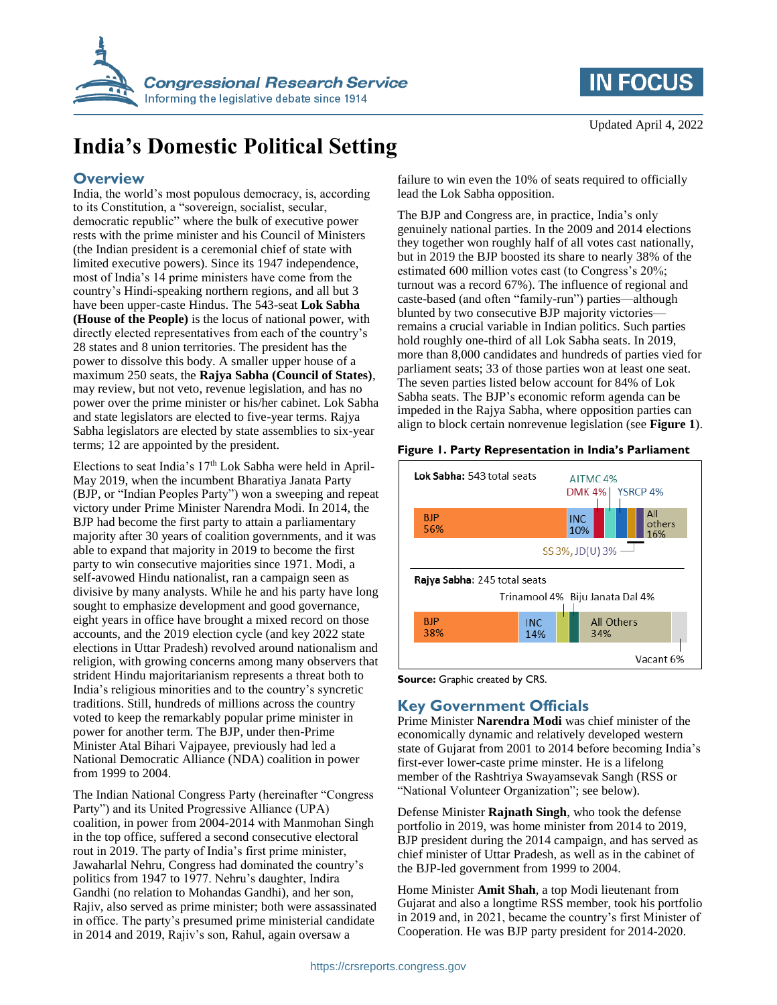

## **IN FOCUS**

# **India's Domestic Political Setting**

#### **Overview**

India, the world's most populous democracy, is, according to its Constitution, a "sovereign, socialist, secular, democratic republic" where the bulk of executive power rests with the prime minister and his Council of Ministers (the Indian president is a ceremonial chief of state with limited executive powers). Since its 1947 independence, most of India's 14 prime ministers have come from the country's Hindi-speaking northern regions, and all but 3 have been upper-caste Hindus. The 543-seat **Lok Sabha (House of the People)** is the locus of national power, with directly elected representatives from each of the country's 28 states and 8 union territories. The president has the power to dissolve this body. A smaller upper house of a maximum 250 seats, the **Rajya Sabha (Council of States)**, may review, but not veto, revenue legislation, and has no power over the prime minister or his/her cabinet. Lok Sabha and state legislators are elected to five-year terms. Rajya Sabha legislators are elected by state assemblies to six-year terms; 12 are appointed by the president.

Elections to seat India's  $17<sup>th</sup>$  Lok Sabha were held in April-May 2019, when the incumbent Bharatiya Janata Party (BJP, or "Indian Peoples Party") won a sweeping and repeat victory under Prime Minister Narendra Modi. In 2014, the BJP had become the first party to attain a parliamentary majority after 30 years of coalition governments, and it was able to expand that majority in 2019 to become the first party to win consecutive majorities since 1971. Modi, a self-avowed Hindu nationalist, ran a campaign seen as divisive by many analysts. While he and his party have long sought to emphasize development and good governance, eight years in office have brought a mixed record on those accounts, and the 2019 election cycle (and key 2022 state elections in Uttar Pradesh) revolved around nationalism and religion, with growing concerns among many observers that strident Hindu majoritarianism represents a threat both to India's religious minorities and to the country's syncretic traditions. Still, hundreds of millions across the country voted to keep the remarkably popular prime minister in power for another term. The BJP, under then-Prime Minister Atal Bihari Vajpayee, previously had led a National Democratic Alliance (NDA) coalition in power from 1999 to 2004.

The Indian National Congress Party (hereinafter "Congress Party") and its United Progressive Alliance (UPA) coalition, in power from 2004-2014 with Manmohan Singh in the top office, suffered a second consecutive electoral rout in 2019. The party of India's first prime minister, Jawaharlal Nehru, Congress had dominated the country's politics from 1947 to 1977. Nehru's daughter, Indira Gandhi (no relation to Mohandas Gandhi), and her son, Rajiv, also served as prime minister; both were assassinated in office. The party's presumed prime ministerial candidate in 2014 and 2019, Rajiv's son, Rahul, again oversaw a

failure to win even the 10% of seats required to officially lead the Lok Sabha opposition.

The BJP and Congress are, in practice, India's only genuinely national parties. In the 2009 and 2014 elections they together won roughly half of all votes cast nationally, but in 2019 the BJP boosted its share to nearly 38% of the estimated 600 million votes cast (to Congress's 20%; turnout was a record 67%). The influence of regional and caste-based (and often "family-run") parties—although blunted by two consecutive BJP majority victories remains a crucial variable in Indian politics. Such parties hold roughly one-third of all Lok Sabha seats. In 2019, more than 8,000 candidates and hundreds of parties vied for parliament seats; 33 of those parties won at least one seat. The seven parties listed below account for 84% of Lok Sabha seats. The BJP's economic reform agenda can be impeded in the Rajya Sabha, where opposition parties can align to block certain nonrevenue legislation (see **[Figure 1](#page-0-0)**).

#### <span id="page-0-0"></span>**Figure 1. Party Representation in India's Parliament**



**Source:** Graphic created by CRS.

#### **Key Government Officials**

Prime Minister **Narendra Modi** was chief minister of the economically dynamic and relatively developed western state of Gujarat from 2001 to 2014 before becoming India's first-ever lower-caste prime minster. He is a lifelong member of the Rashtriya Swayamsevak Sangh (RSS or "National Volunteer Organization"; see below).

Defense Minister **Rajnath Singh**, who took the defense portfolio in 2019, was home minister from 2014 to 2019, BJP president during the 2014 campaign, and has served as chief minister of Uttar Pradesh, as well as in the cabinet of the BJP-led government from 1999 to 2004.

Home Minister **Amit Shah**, a top Modi lieutenant from Gujarat and also a longtime RSS member, took his portfolio in 2019 and, in 2021, became the country's first Minister of Cooperation. He was BJP party president for 2014-2020.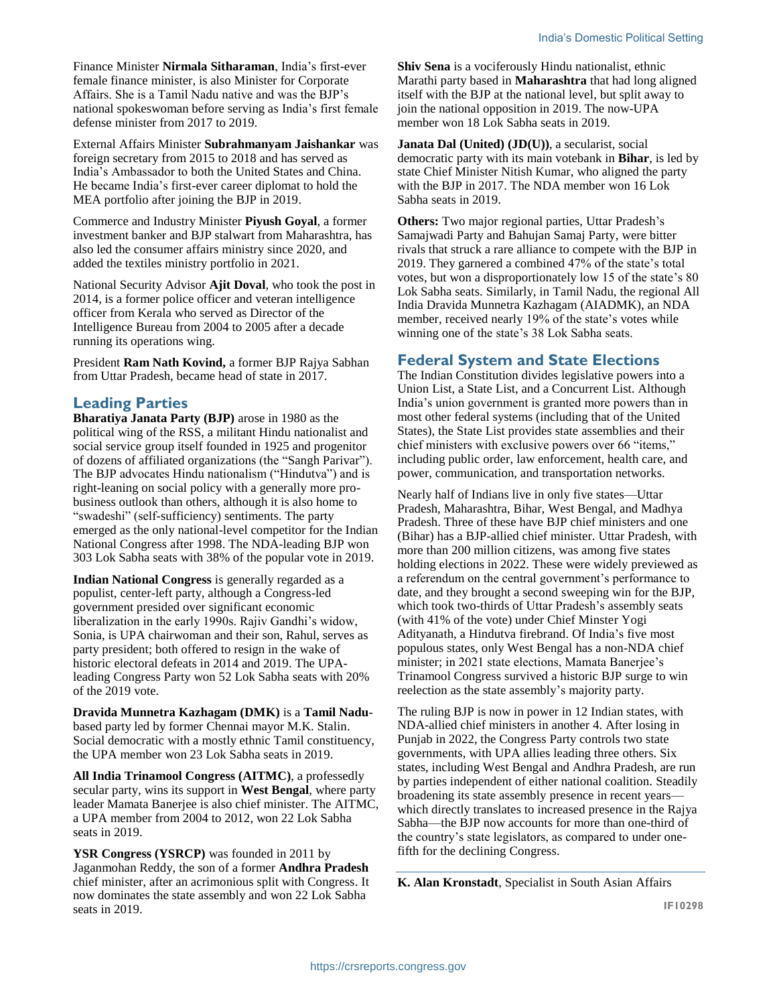Finance Minister **Nirmala Sitharaman**, India's first-ever female finance minister, is also Minister for Corporate Affairs. She is a Tamil Nadu native and was the BJP's national spokeswoman before serving as India's first female defense minister from 2017 to 2019.

External Affairs Minister **Subrahmanyam Jaishankar** was foreign secretary from 2015 to 2018 and has served as India's Ambassador to both the United States and China. He became India's first-ever career diplomat to hold the MEA portfolio after joining the BJP in 2019.

Commerce and Industry Minister **Piyush Goyal**, a former investment banker and BJP stalwart from Maharashtra, has also led the consumer affairs ministry since 2020, and added the textiles ministry portfolio in 2021.

National Security Advisor **Ajit Doval**, who took the post in 2014, is a former police officer and veteran intelligence officer from Kerala who served as Director of the Intelligence Bureau from 2004 to 2005 after a decade running its operations wing.

President **Ram Nath Kovind,** a former BJP Rajya Sabhan from Uttar Pradesh, became head of state in 2017.

#### **Leading Parties**

**Bharatiya Janata Party (BJP)** arose in 1980 as the political wing of the RSS, a militant Hindu nationalist and social service group itself founded in 1925 and progenitor of dozens of affiliated organizations (the "Sangh Parivar"). The BJP advocates Hindu nationalism ("Hindutva") and is right-leaning on social policy with a generally more probusiness outlook than others, although it is also home to "swadeshi" (self-sufficiency) sentiments. The party emerged as the only national-level competitor for the Indian National Congress after 1998. The NDA-leading BJP won 303 Lok Sabha seats with 38% of the popular vote in 2019.

**Indian National Congress** is generally regarded as a populist, center-left party, although a Congress-led government presided over significant economic liberalization in the early 1990s. Rajiv Gandhi's widow, Sonia, is UPA chairwoman and their son, Rahul, serves as party president; both offered to resign in the wake of historic electoral defeats in 2014 and 2019. The UPAleading Congress Party won 52 Lok Sabha seats with 20% of the 2019 vote.

**Dravida Munnetra Kazhagam (DMK)** is a **Tamil Nadu**based party led by former Chennai mayor M.K. Stalin. Social democratic with a mostly ethnic Tamil constituency, the UPA member won 23 Lok Sabha seats in 2019.

**All India Trinamool Congress (AITMC)**, a professedly secular party, wins its support in **West Bengal**, where party leader Mamata Banerjee is also chief minister. The AITMC, a UPA member from 2004 to 2012, won 22 Lok Sabha seats in 2019.

**YSR Congress (YSRCP)** was founded in 2011 by Jaganmohan Reddy, the son of a former **Andhra Pradesh** chief minister, after an acrimonious split with Congress. It now dominates the state assembly and won 22 Lok Sabha seats in 2019.

**Shiv Sena** is a vociferously Hindu nationalist, ethnic Marathi party based in **Maharashtra** that had long aligned itself with the BJP at the national level, but split away to join the national opposition in 2019. The now-UPA member won 18 Lok Sabha seats in 2019.

**Janata Dal (United) (JD(U))**, a secularist, social democratic party with its main votebank in **Bihar**, is led by state Chief Minister Nitish Kumar, who aligned the party with the BJP in 2017. The NDA member won 16 Lok Sabha seats in 2019.

**Others:** Two major regional parties, Uttar Pradesh's Samajwadi Party and Bahujan Samaj Party, were bitter rivals that struck a rare alliance to compete with the BJP in 2019. They garnered a combined 47% of the state's total votes, but won a disproportionately low 15 of the state's 80 Lok Sabha seats. Similarly, in Tamil Nadu, the regional All India Dravida Munnetra Kazhagam (AIADMK), an NDA member, received nearly 19% of the state's votes while winning one of the state's 38 Lok Sabha seats.

#### **Federal System and State Elections**

The Indian Constitution divides legislative powers into a Union List, a State List, and a Concurrent List. Although India's union government is granted more powers than in most other federal systems (including that of the United States), the State List provides state assemblies and their chief ministers with exclusive powers over 66 "items," including public order, law enforcement, health care, and power, communication, and transportation networks.

Nearly half of Indians live in only five states—Uttar Pradesh, Maharashtra, Bihar, West Bengal, and Madhya Pradesh. Three of these have BJP chief ministers and one (Bihar) has a BJP-allied chief minister. Uttar Pradesh, with more than 200 million citizens, was among five states holding elections in 2022. These were widely previewed as a referendum on the central government's performance to date, and they brought a second sweeping win for the BJP, which took two-thirds of Uttar Pradesh's assembly seats (with 41% of the vote) under Chief Minster Yogi Adityanath, a Hindutva firebrand. Of India's five most populous states, only West Bengal has a non-NDA chief minister; in 2021 state elections, Mamata Banerjee's Trinamool Congress survived a historic BJP surge to win reelection as the state assembly's majority party.

The ruling BJP is now in power in 12 Indian states, with NDA-allied chief ministers in another 4. After losing in Punjab in 2022, the Congress Party controls two state governments, with UPA allies leading three others. Six states, including West Bengal and Andhra Pradesh, are run by parties independent of either national coalition. Steadily broadening its state assembly presence in recent years which directly translates to increased presence in the Rajya Sabha—the BJP now accounts for more than one-third of the country's state legislators, as compared to under onefifth for the declining Congress.

**K. Alan Kronstadt**, Specialist in South Asian Affairs